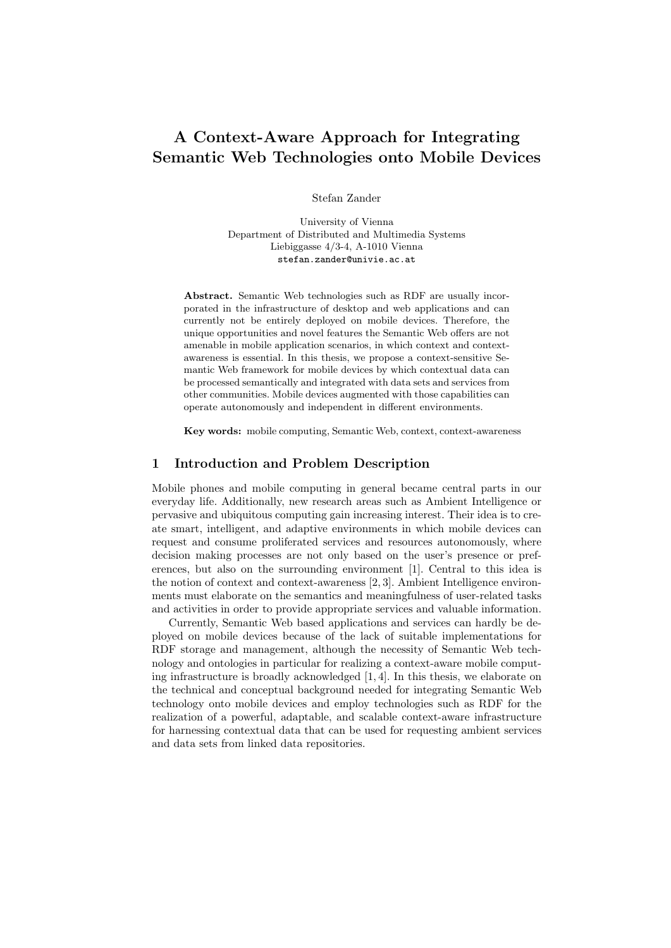# A Context-Aware Approach for Integrating Semantic Web Technologies onto Mobile Devices

Stefan Zander

University of Vienna Department of Distributed and Multimedia Systems Liebiggasse 4/3-4, A-1010 Vienna stefan.zander@univie.ac.at

Abstract. Semantic Web technologies such as RDF are usually incorporated in the infrastructure of desktop and web applications and can currently not be entirely deployed on mobile devices. Therefore, the unique opportunities and novel features the Semantic Web offers are not amenable in mobile application scenarios, in which context and contextawareness is essential. In this thesis, we propose a context-sensitive Semantic Web framework for mobile devices by which contextual data can be processed semantically and integrated with data sets and services from other communities. Mobile devices augmented with those capabilities can operate autonomously and independent in different environments.

Key words: mobile computing, Semantic Web, context, context-awareness

#### 1 Introduction and Problem Description

Mobile phones and mobile computing in general became central parts in our everyday life. Additionally, new research areas such as Ambient Intelligence or pervasive and ubiquitous computing gain increasing interest. Their idea is to create smart, intelligent, and adaptive environments in which mobile devices can request and consume proliferated services and resources autonomously, where decision making processes are not only based on the user's presence or preferences, but also on the surrounding environment [1]. Central to this idea is the notion of context and context-awareness [2, 3]. Ambient Intelligence environments must elaborate on the semantics and meaningfulness of user-related tasks and activities in order to provide appropriate services and valuable information.

Currently, Semantic Web based applications and services can hardly be deployed on mobile devices because of the lack of suitable implementations for RDF storage and management, although the necessity of Semantic Web technology and ontologies in particular for realizing a context-aware mobile computing infrastructure is broadly acknowledged [1, 4]. In this thesis, we elaborate on the technical and conceptual background needed for integrating Semantic Web technology onto mobile devices and employ technologies such as RDF for the realization of a powerful, adaptable, and scalable context-aware infrastructure for harnessing contextual data that can be used for requesting ambient services and data sets from linked data repositories.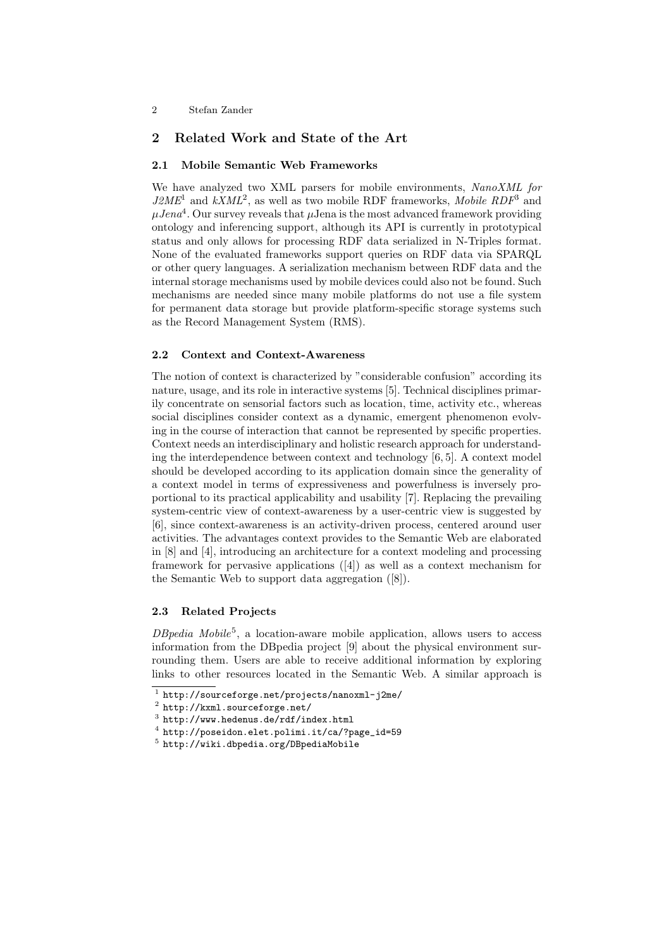#### 2 Stefan Zander

## 2 Related Work and State of the Art

## 2.1 Mobile Semantic Web Frameworks

We have analyzed two XML parsers for mobile environments, NanoXML for  $J2ME<sup>1</sup>$  and  $kXML<sup>2</sup>$ , as well as two mobile RDF frameworks, Mobile RDF<sup>3</sup> and  $\mu Jena^4$  . Our survey reveals that  $\mu$ Jena is the most advanced framework providing ontology and inferencing support, although its API is currently in prototypical status and only allows for processing RDF data serialized in N-Triples format. None of the evaluated frameworks support queries on RDF data via SPARQL or other query languages. A serialization mechanism between RDF data and the internal storage mechanisms used by mobile devices could also not be found. Such mechanisms are needed since many mobile platforms do not use a file system for permanent data storage but provide platform-specific storage systems such as the Record Management System (RMS).

### 2.2 Context and Context-Awareness

The notion of context is characterized by "considerable confusion" according its nature, usage, and its role in interactive systems [5]. Technical disciplines primarily concentrate on sensorial factors such as location, time, activity etc., whereas social disciplines consider context as a dynamic, emergent phenomenon evolving in the course of interaction that cannot be represented by specific properties. Context needs an interdisciplinary and holistic research approach for understanding the interdependence between context and technology [6, 5]. A context model should be developed according to its application domain since the generality of a context model in terms of expressiveness and powerfulness is inversely proportional to its practical applicability and usability [7]. Replacing the prevailing system-centric view of context-awareness by a user-centric view is suggested by [6], since context-awareness is an activity-driven process, centered around user activities. The advantages context provides to the Semantic Web are elaborated in [8] and [4], introducing an architecture for a context modeling and processing framework for pervasive applications ([4]) as well as a context mechanism for the Semantic Web to support data aggregation ([8]).

#### 2.3 Related Projects

 $DBpedia Mobile<sup>5</sup>$ , a location-aware mobile application, allows users to access information from the DBpedia project [9] about the physical environment surrounding them. Users are able to receive additional information by exploring links to other resources located in the Semantic Web. A similar approach is

<sup>1</sup> http://sourceforge.net/projects/nanoxml-j2me/

 $^2$  http://kxml.sourceforge.net/

 $^3$  http://www.hedenus.de/rdf/index.html

 $^4$  http://poseidon.elet.polimi.it/ca/?page\_id=59

 $^5$  http://wiki.dbpedia.org/DBpediaMobile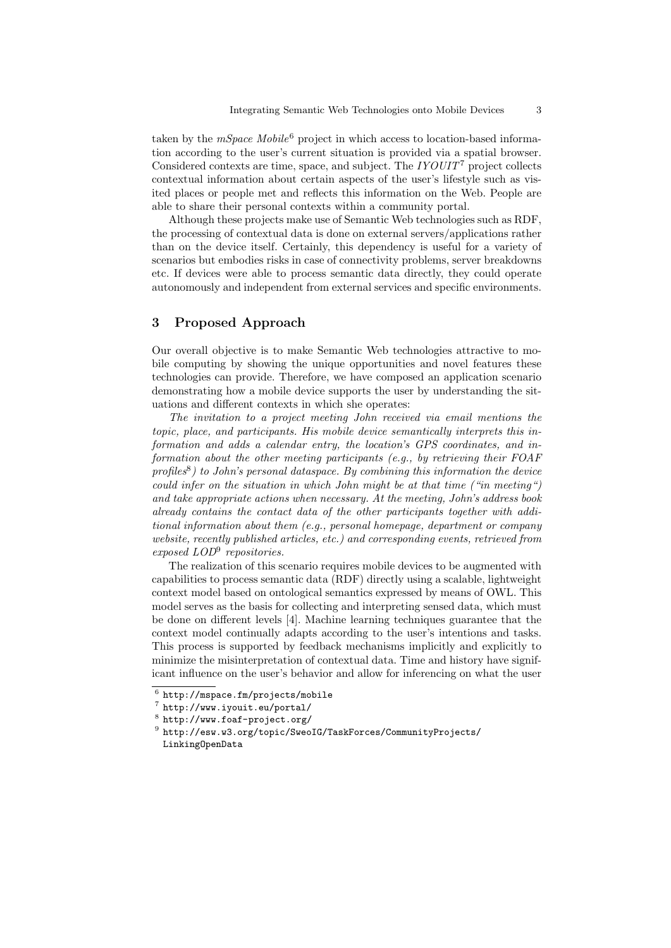taken by the  $mSpace Mobile<sup>6</sup>$  project in which access to location-based information according to the user's current situation is provided via a spatial browser. Considered contexts are time, space, and subject. The  $IYOUIT<sup>7</sup>$  project collects contextual information about certain aspects of the user's lifestyle such as visited places or people met and reflects this information on the Web. People are able to share their personal contexts within a community portal.

Although these projects make use of Semantic Web technologies such as RDF, the processing of contextual data is done on external servers/applications rather than on the device itself. Certainly, this dependency is useful for a variety of scenarios but embodies risks in case of connectivity problems, server breakdowns etc. If devices were able to process semantic data directly, they could operate autonomously and independent from external services and specific environments.

## 3 Proposed Approach

Our overall objective is to make Semantic Web technologies attractive to mobile computing by showing the unique opportunities and novel features these technologies can provide. Therefore, we have composed an application scenario demonstrating how a mobile device supports the user by understanding the situations and different contexts in which she operates:

The invitation to a project meeting John received via email mentions the topic, place, and participants. His mobile device semantically interprets this information and adds a calendar entry, the location's GPS coordinates, and information about the other meeting participants (e.g., by retrieving their FOAF profiles<sup>8</sup>) to John's personal dataspace. By combining this information the device could infer on the situation in which John might be at that time ("in meeting") and take appropriate actions when necessary. At the meeting, John's address book already contains the contact data of the other participants together with additional information about them (e.g., personal homepage, department or company website, recently published articles, etc.) and corresponding events, retrieved from exposed LOD<sup>9</sup> repositories.

The realization of this scenario requires mobile devices to be augmented with capabilities to process semantic data (RDF) directly using a scalable, lightweight context model based on ontological semantics expressed by means of OWL. This model serves as the basis for collecting and interpreting sensed data, which must be done on different levels [4]. Machine learning techniques guarantee that the context model continually adapts according to the user's intentions and tasks. This process is supported by feedback mechanisms implicitly and explicitly to minimize the misinterpretation of contextual data. Time and history have significant influence on the user's behavior and allow for inferencing on what the user

 $^6$  http://mspace.fm/projects/mobile

<sup>7</sup> http://www.iyouit.eu/portal/

 $^8$  http://www.foaf-project.org/

 $^9$  http://esw.w3.org/topic/SweoIG/TaskForces/CommunityProjects/ LinkingOpenData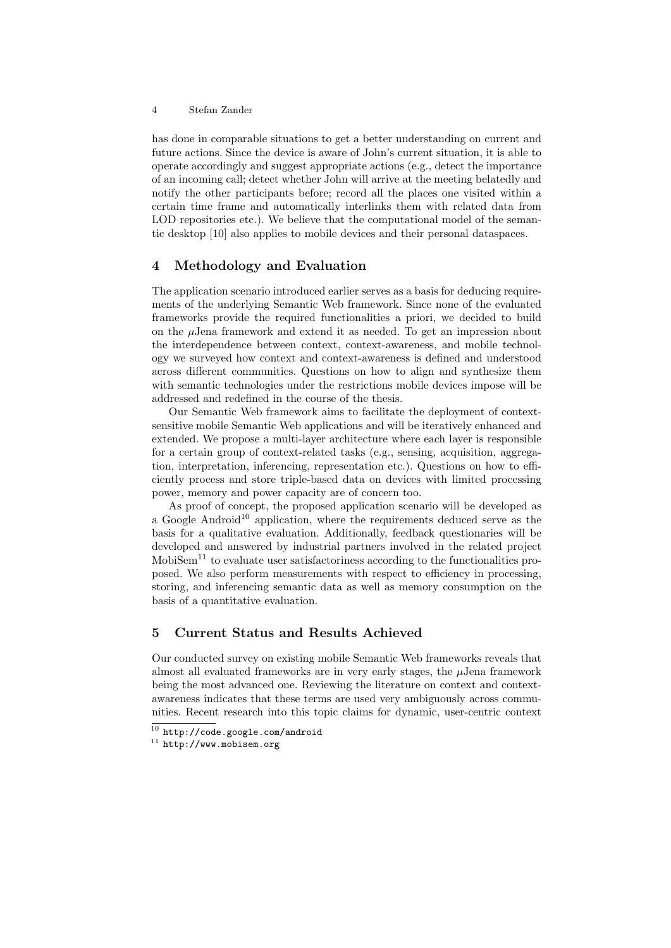#### 4 Stefan Zander

has done in comparable situations to get a better understanding on current and future actions. Since the device is aware of John's current situation, it is able to operate accordingly and suggest appropriate actions (e.g., detect the importance of an incoming call; detect whether John will arrive at the meeting belatedly and notify the other participants before; record all the places one visited within a certain time frame and automatically interlinks them with related data from LOD repositories etc.). We believe that the computational model of the semantic desktop [10] also applies to mobile devices and their personal dataspaces.

## 4 Methodology and Evaluation

The application scenario introduced earlier serves as a basis for deducing requirements of the underlying Semantic Web framework. Since none of the evaluated frameworks provide the required functionalities a priori, we decided to build on the µJena framework and extend it as needed. To get an impression about the interdependence between context, context-awareness, and mobile technology we surveyed how context and context-awareness is defined and understood across different communities. Questions on how to align and synthesize them with semantic technologies under the restrictions mobile devices impose will be addressed and redefined in the course of the thesis.

Our Semantic Web framework aims to facilitate the deployment of contextsensitive mobile Semantic Web applications and will be iteratively enhanced and extended. We propose a multi-layer architecture where each layer is responsible for a certain group of context-related tasks (e.g., sensing, acquisition, aggregation, interpretation, inferencing, representation etc.). Questions on how to efficiently process and store triple-based data on devices with limited processing power, memory and power capacity are of concern too.

As proof of concept, the proposed application scenario will be developed as a Google Android<sup>10</sup> application, where the requirements deduced serve as the basis for a qualitative evaluation. Additionally, feedback questionaries will be developed and answered by industrial partners involved in the related project MobiSem<sup>11</sup> to evaluate user satisfactoriness according to the functionalities proposed. We also perform measurements with respect to efficiency in processing, storing, and inferencing semantic data as well as memory consumption on the basis of a quantitative evaluation.

## 5 Current Status and Results Achieved

Our conducted survey on existing mobile Semantic Web frameworks reveals that almost all evaluated frameworks are in very early stages, the  $\mu$ Jena framework being the most advanced one. Reviewing the literature on context and contextawareness indicates that these terms are used very ambiguously across communities. Recent research into this topic claims for dynamic, user-centric context

 $\overline{10 \text{ http://code.google.com/android}}$ 

 $11$  http://www.mobisem.org